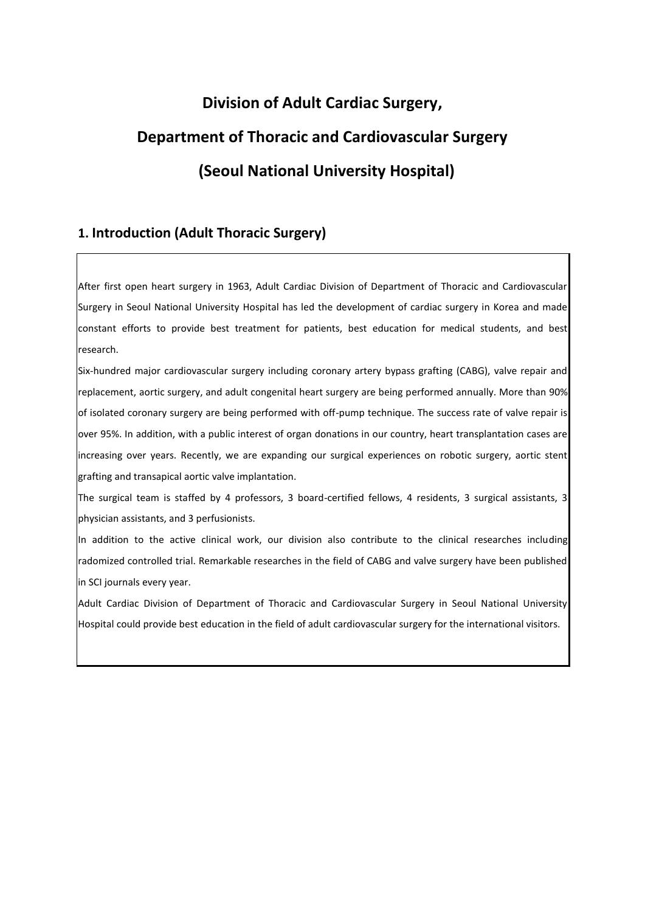# **Division of Adult Cardiac Surgery, Department of Thoracic and Cardiovascular Surgery (Seoul National University Hospital)**

## **1. Introduction (Adult Thoracic Surgery)**

After first open heart surgery in 1963, Adult Cardiac Division of Department of Thoracic and Cardiovascular Surgery in Seoul National University Hospital has led the development of cardiac surgery in Korea and made constant efforts to provide best treatment for patients, best education for medical students, and best research.

Six-hundred major cardiovascular surgery including coronary artery bypass grafting (CABG), valve repair and replacement, aortic surgery, and adult congenital heart surgery are being performed annually. More than 90% of isolated coronary surgery are being performed with off-pump technique. The success rate of valve repair is over 95%. In addition, with a public interest of organ donations in our country, heart transplantation cases are increasing over years. Recently, we are expanding our surgical experiences on robotic surgery, aortic stent grafting and transapical aortic valve implantation.

The surgical team is staffed by 4 professors, 3 board-certified fellows, 4 residents, 3 surgical assistants, 3 physician assistants, and 3 perfusionists.

In addition to the active clinical work, our division also contribute to the clinical researches including radomized controlled trial. Remarkable researches in the field of CABG and valve surgery have been published in SCI journals every year.

Adult Cardiac Division of Department of Thoracic and Cardiovascular Surgery in Seoul National University Hospital could provide best education in the field of adult cardiovascular surgery for the international visitors.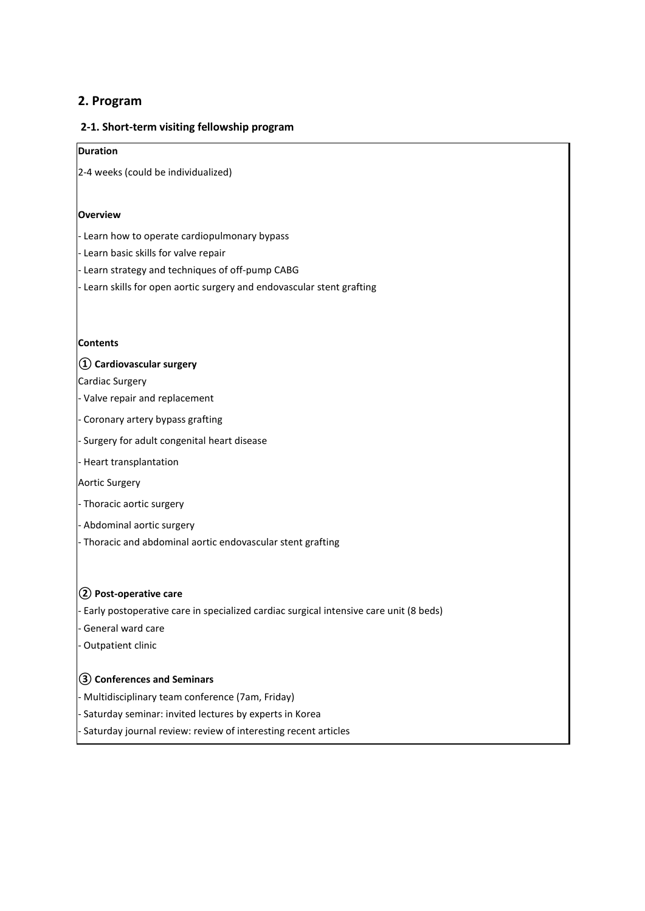## **2. Program**

#### **2-1. Short-term visiting fellowship program**

## **Duration**

2-4 weeks (could be individualized)

#### **Overview**

- Learn how to operate cardiopulmonary bypass

- Learn basic skills for valve repair

- Learn strategy and techniques of off-pump CABG

- Learn skills for open aortic surgery and endovascular stent grafting

#### **Contents**

#### **① Cardiovascular surgery**

Cardiac Surgery

- Valve repair and replacement

- Coronary artery bypass grafting

- Surgery for adult congenital heart disease

- Heart transplantation

Aortic Surgery

- Thoracic aortic surgery

- Abdominal aortic surgery

- Thoracic and abdominal aortic endovascular stent grafting

#### **② Post-operative care**

- Early postoperative care in specialized cardiac surgical intensive care unit (8 beds)

- General ward care

- Outpatient clinic

#### **③ Conferences and Seminars**

- Multidisciplinary team conference (7am, Friday)

- Saturday seminar: invited lectures by experts in Korea

Saturday journal review: review of interesting recent articles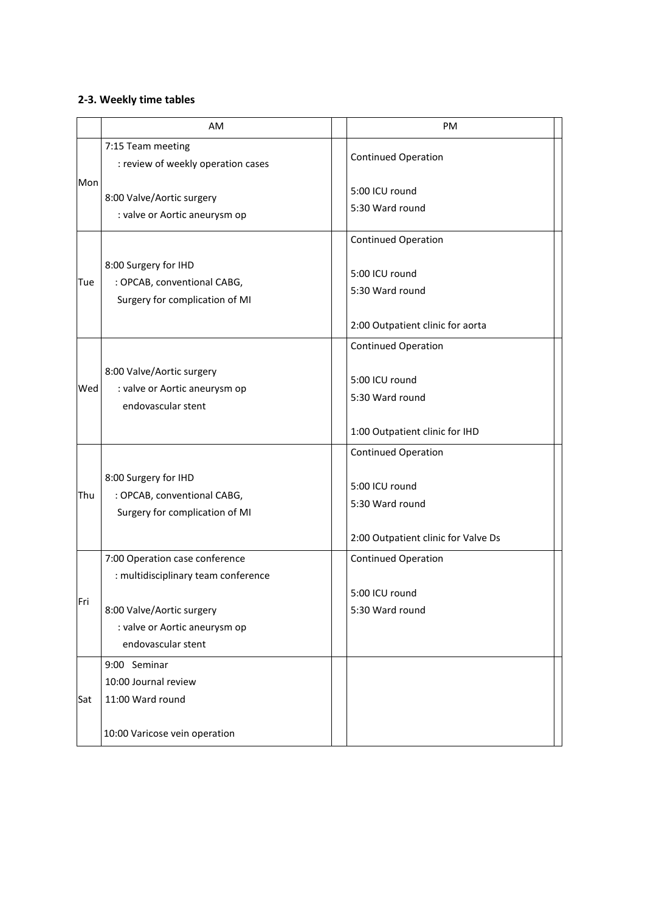## **2-3. Weekly time tables**

|     | AM                                                                                                                                                        | PM                                                                                                     |
|-----|-----------------------------------------------------------------------------------------------------------------------------------------------------------|--------------------------------------------------------------------------------------------------------|
| Mon | 7:15 Team meeting<br>: review of weekly operation cases                                                                                                   | <b>Continued Operation</b>                                                                             |
|     | 8:00 Valve/Aortic surgery<br>: valve or Aortic aneurysm op                                                                                                | 5:00 ICU round<br>5:30 Ward round                                                                      |
| Tue | 8:00 Surgery for IHD<br>: OPCAB, conventional CABG,<br>Surgery for complication of MI                                                                     | <b>Continued Operation</b><br>5:00 ICU round<br>5:30 Ward round<br>2:00 Outpatient clinic for aorta    |
| Wed | 8:00 Valve/Aortic surgery<br>: valve or Aortic aneurysm op<br>endovascular stent                                                                          | <b>Continued Operation</b><br>5:00 ICU round<br>5:30 Ward round<br>1:00 Outpatient clinic for IHD      |
| Thu | 8:00 Surgery for IHD<br>: OPCAB, conventional CABG,<br>Surgery for complication of MI                                                                     | <b>Continued Operation</b><br>5:00 ICU round<br>5:30 Ward round<br>2:00 Outpatient clinic for Valve Ds |
| Fri | 7:00 Operation case conference<br>: multidisciplinary team conference<br>8:00 Valve/Aortic surgery<br>: valve or Aortic aneurysm op<br>endovascular stent | <b>Continued Operation</b><br>5:00 ICU round<br>5:30 Ward round                                        |
| Sat | 9:00 Seminar<br>10:00 Journal review<br>11:00 Ward round<br>10:00 Varicose vein operation                                                                 |                                                                                                        |